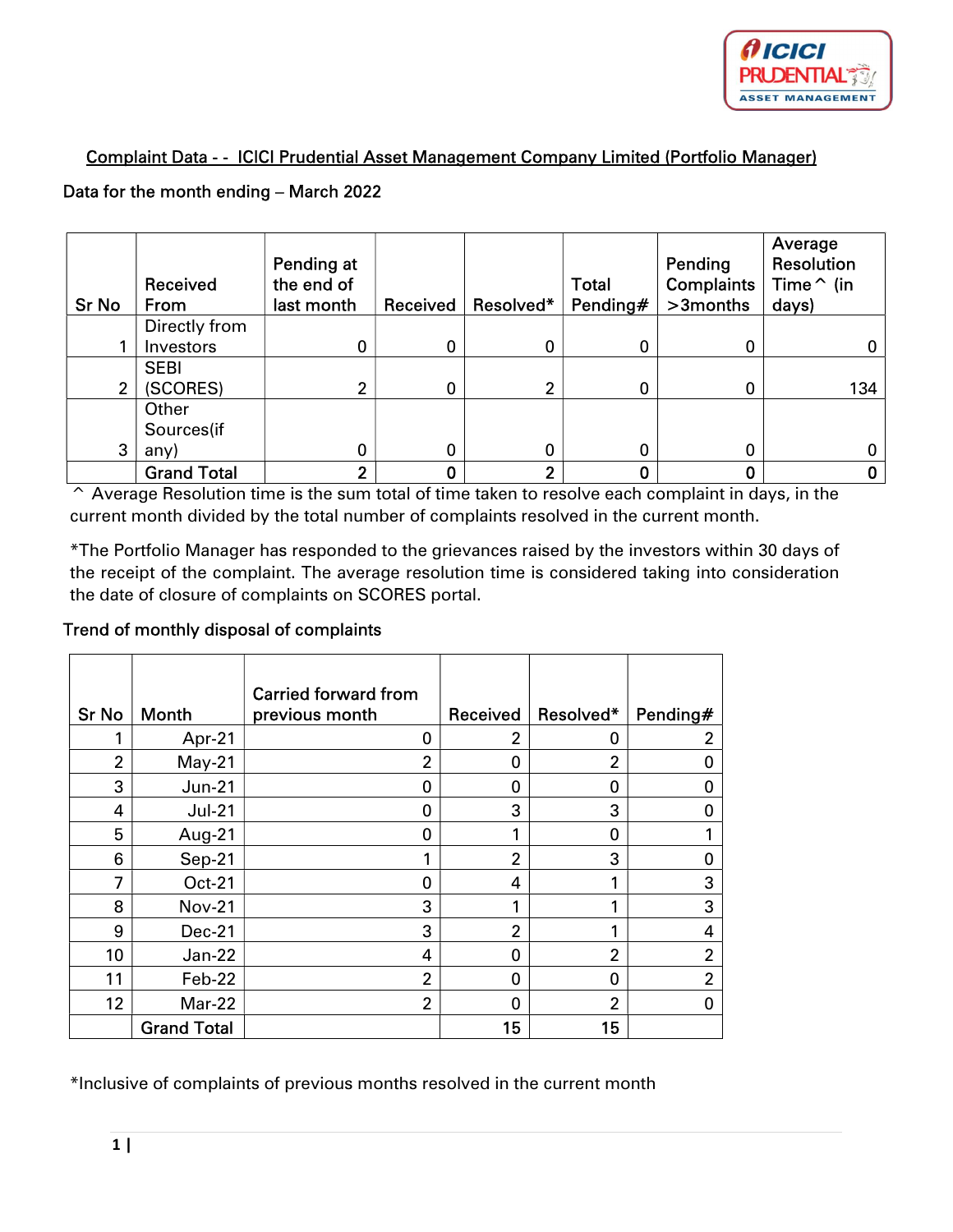

## Complaint Data - - ICICI Prudential Asset Management Company Limited (Portfolio Manager)

## Data for the month ending – March 2022

| <b>Sr No</b> | Received<br>From   | Pending at<br>the end of<br>last month | Received | Resolved* | <b>Total</b><br>Pending# | Pending<br><b>Complaints</b><br>>3months | Average<br><b>Resolution</b><br>Time $\hat{}$ (in<br>days) |
|--------------|--------------------|----------------------------------------|----------|-----------|--------------------------|------------------------------------------|------------------------------------------------------------|
|              | Directly from      |                                        |          |           |                          |                                          |                                                            |
|              | Investors          | 0                                      | 0        | 0         | 0                        | 0                                        | 0                                                          |
|              | <b>SEBI</b>        |                                        |          |           |                          |                                          |                                                            |
| 2            | (SCORES)           | ◠                                      | 0        | 2         | 0                        | 0                                        | 134                                                        |
|              | Other              |                                        |          |           |                          |                                          |                                                            |
|              | Sources(if         |                                        |          |           |                          |                                          |                                                            |
| 3            | any)               | 0                                      | 0        | 0         | 0                        | 0                                        |                                                            |
|              | <b>Grand Total</b> | າ                                      |          | າ         |                          | 0                                        |                                                            |

^ Average Resolution time is the sum total of time taken to resolve each complaint in days, in the current month divided by the total number of complaints resolved in the current month.

\*The Portfolio Manager has responded to the grievances raised by the investors within 30 days of the receipt of the complaint. The average resolution time is considered taking into consideration the date of closure of complaints on SCORES portal.

## Trend of monthly disposal of complaints

|                |                    | <b>Carried forward from</b> |                |                |                |
|----------------|--------------------|-----------------------------|----------------|----------------|----------------|
| <b>Sr No</b>   | <b>Month</b>       | previous month              | Received       | Resolved*      | Pending#       |
|                | Apr-21             | 0                           | 2              | 0              | 2              |
| $\overline{2}$ | $May-21$           | $\overline{2}$              | 0              | $\overline{2}$ | O              |
| 3              | <b>Jun-21</b>      | 0                           | 0              | 0              | 0              |
| 4              | $Jul-21$           | 0                           | 3              | 3              | 0              |
| 5              | Aug-21             | 0                           | 1              | 0              |                |
| 6              | Sep-21             |                             | $\overline{2}$ | 3              | 0              |
| 7              | Oct-21             | 0                           | 4              | 1              | 3              |
| 8              | <b>Nov-21</b>      | 3                           | 1              | 1              | 3              |
| 9              | <b>Dec-21</b>      | 3                           | $\overline{2}$ | 1              | 4              |
| 10             | Jan-22             | 4                           | 0              | $\overline{2}$ | $\overline{2}$ |
| 11             | Feb-22             | $\overline{2}$              | $\Omega$       | 0              | $\overline{2}$ |
| 12             | Mar-22             | $\overline{2}$              | 0              | $\overline{2}$ | 0              |
|                | <b>Grand Total</b> |                             | 15             | 15             |                |

\*Inclusive of complaints of previous months resolved in the current month